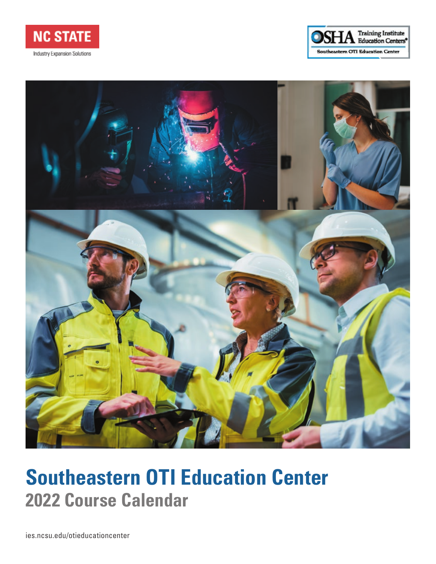





# **Southeastern OTI Education Center 2022 Course Calendar**

ies.ncsu.edu/otieducationcenter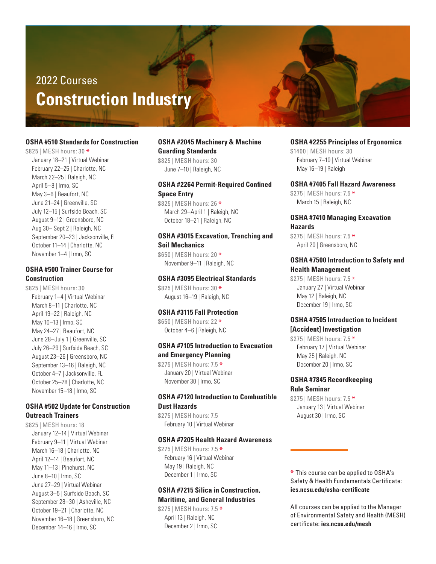# 2022 Courses **Construction Industry**

#### **OSHA #510 Standards for Construction**

\$825 | MESH hours: 30 \* January 18–21 | Virtual Webinar February 22–25 | Charlotte, NC March 22–25 | Raleigh, NC April 5–8 | Irmo, SC May 3–6 | Beaufort, NC June 21–24 | Greenville, SC July 12–15 | Surfside Beach, SC August 9–12 | Greensboro, NC Aug 30– Sept 2 | Raleigh, NC September 20–23 | Jacksonville, FL October 11–14 | Charlotte, NC November 1–4 | Irmo, SC

#### **OSHA #500 Trainer Course for Construction**

\$825 | MESH hours: 30 February 1–4 | Virtual Webinar March 8-11 | Charlotte, NC April 19–22 | Raleigh, NC May 10–13 | Irmo, SC May 24–27 | Beaufort, NC June 28–July 1 | Greenville, SC July 26–29 | Surfside Beach, SC August 23–26 | Greensboro, NC September 13–16 | Raleigh, NC October 4–7 | Jacksonville, FL October 25–28 | Charlotte, NC November 15–18 | Irmo, SC

# **OSHA #502 Update for Construction Outreach Trainers**

\$825 | MESH hours: 18 January 12–14 | Virtual Webinar February 9–11 | Virtual Webinar March 16–18 | Charlotte, NC April 12–14 | Beaufort, NC May 11–13 | Pinehurst, NC June 8–10 | Irmo, SC June 27–29 | Virtual Webinar August 3–5 | Surfside Beach, SC September 28–30 | Asheville, NC October 19–21 | Charlotte, NC November 16–18 | Greensboro, NC December 14–16 | Irmo, SC

#### **OSHA #2045 Machinery & Machine Guarding Standards**

\$825 | MESH hours: 30 June 7–10 | Raleigh, NC

#### **OSHA #2264 Permit-Required Confined Space Entry**

\$825 | MESH hours: 26 \* March 29–April 1 | Raleigh, NC October 18–21 | Raleigh, NC

#### **OSHA #3015 Excavation, Trenching and Soil Mechanics**

\$650 | MESH hours: 20 \* November 9–11 | Raleigh, NC

#### **OSHA #3095 Electrical Standards**

\$825 | MESH hours: 30 \* August 16–19 | Raleigh, NC

#### **OSHA #3115 Fall Protection**

\$650 | MESH hours: 22 \* October 4–6 | Raleigh, NC

# **OSHA #7105 Introduction to Evacuation and Emergency Planning**

\$275 | MESH hours: 7.5 \* January 20 | Virtual Webinar November 30 | Irmo, SC

# **OSHA #7120 Introduction to Combustible Dust Hazards**

\$275 | MESH hours: 7.5 February 10 | Virtual Webinar

#### **OSHA #7205 Health Hazard Awareness**

\$275 | MESH hours: 7.5 \* February 16 | Virtual Webinar May 19 | Raleigh, NC December 1 | Irmo, SC

#### **OSHA #7215 Silica in Construction, Maritime, and General Industries**

\$275 | MESH hours: 7.5 \* April 13 | Raleigh, NC December 2 | Irmo, SC

#### **OSHA #2255 Principles of Ergonomics**

\$1400 | MESH hours: 30 February 7–10 | Virtual Webinar May 16–19 | Raleigh

#### **OSHA #7405 Fall Hazard Awareness**

\$275 | MESH hours: 7.5 \* March 15 | Raleigh, NC

# **OSHA #7410 Managing Excavation Hazards**

\$275 | MESH hours: 7.5 \* April 20 | Greensboro, NC

#### **OSHA #7500 Introduction to Safety and Health Management**

\$275 | MESH hours: 7.5 \* January 27 | Virtual Webinar May 12 | Raleigh, NC December 19 | Irmo, SC

#### **OSHA #7505 Introduction to Incident [Accident] Investigation**

\$275 | MESH hours: 7.5 \* February 17 | Virtual Webinar May 25 | Raleigh, NC December 20 | Irmo, SC

#### **OSHA #7845 Recordkeeping Rule Seminar**

\$275 | MESH hours: 7.5 \* January 13 | Virtual Webinar August 30 | Irmo, SC

\* This course can be applied to OSHA's Safety & Health Fundamentals Certificate: **ies.ncsu.edu/osha-certificate**

All courses can be applied to the Manager of Environmental Safety and Health (MESH) certificate: **ies.ncsu.edu/mesh**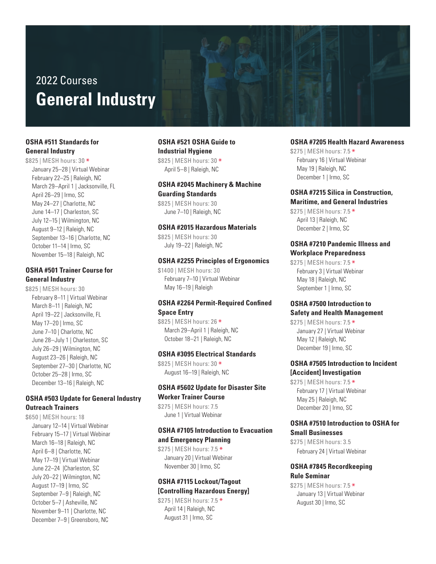# 2022 Courses **General Industry**

# **OSHA #511 Standards for General Industry**

\$825 | MESH hours: 30 \* January 25–28 | Virtual Webinar February 22–25 | Raleigh, NC March 29–April 1 | Jacksonville, FL April 26–29 | Irmo, SC May 24–27 | Charlotte, NC June 14–17 | Charleston, SC July 12–15 | Wilmington, NC August 9–12 | Raleigh, NC September 13–16 | Charlotte, NC October 11–14 | Irmo, SC November 15–18 | Raleigh, NC

# **OSHA #501 Trainer Course for General Industry**

\$825 | MESH hours: 30 February 8–11 | Virtual Webinar March 8–11 | Raleigh, NC April 19–22 | Jacksonville, FL May 17–20 | Irmo, SC June 7–10 | Charlotte, NC June 28–July 1 | Charleston, SC July 26–29 | Wilmington, NC August 23–26 | Raleigh, NC September 27–30 | Charlotte, NC October 25–28 | Irmo, SC December 13–16 | Raleigh, NC

# **OSHA #503 Update for General Industry Outreach Trainers**

\$650 | MESH hours: 18 January 12–14 | Virtual Webinar February 15–17 | Virtual Webinar March 16–18 | Raleigh, NC April 6–8 | Charlotte, NC May 17–19 | Virtual Webinar June 22–24 |Charleston, SC July 20–22 | Wilmington, NC August 17–19 | Irmo, SC September 7–9 | Raleigh, NC October 5–7 | Asheville, NC November 9–11 | Charlotte, NC December 7–9 | Greensboro, NC

# **OSHA #521 OSHA Guide to Industrial Hygiene**

\$825 | MESH hours: 30 \* April 5–8 | Raleigh, NC

# **OSHA #2045 Machinery & Machine Guarding Standards**

\$825 | MESH hours: 30 June 7–10 | Raleigh, NC

#### **OSHA #2015 Hazardous Materials**

\$825 | MESH hours: 30 July 19–22 | Raleigh, NC

#### **OSHA #2255 Principles of Ergonomics**

\$1400 | MESH hours: 30 February 7–10 | Virtual Webinar May 16–19 | Raleigh

# **OSHA #2264 Permit-Required Confined Space Entry**

\$825 | MESH hours: 26 \* March 29–April 1 | Raleigh, NC October 18–21 | Raleigh, NC

#### **OSHA #3095 Electrical Standards**

\$825 | MESH hours: 30 \* August 16–19 | Raleigh, NC

#### **OSHA #5602 Update for Disaster Site Worker Trainer Course**

\$275 | MESH hours: 7.5 June 1 | Virtual Webinar

# **OSHA #7105 Introduction to Evacuation and Emergency Planning**

\$275 | MESH hours: 7.5 \* January 20 | Virtual Webinar November 30 | Irmo, SC

# **OSHA #7115 Lockout/Tagout [Controlling Hazardous Energy]**

\$275 | MESH hours: 7.5 \* April 14 | Raleigh, NC August 31 | Irmo, SC

#### **OSHA #7205 Health Hazard Awareness**

\$275 | MESH hours: 7.5 \* February 16 | Virtual Webinar May 19 | Raleigh, NC December 1 | Irmo, SC

#### **OSHA #7215 Silica in Construction, Maritime, and General Industries**

\$275 | MESH hours: 7.5 \* April 13 | Raleigh, NC December 2 | Irmo, SC

# **OSHA #7210 Pandemic Illness and Workplace Preparedness**

\$275 | MESH hours: 7.5 \* February 3 | Virtual Webinar May 18 | Raleigh, NC September 1 | Irmo, SC

# **OSHA #7500 Introduction to Safety and Health Management**

\$275 | MESH hours: 7.5 \* January 27 | Virtual Webinar May 12 | Raleigh, NC December 19 | Irmo, SC

# **OSHA #7505 Introduction to Incident [Accident] Investigation**

\$275 | MESH hours: 7.5 \* February 17 | Virtual Webinar May 25 | Raleigh, NC December 20 | Irmo, SC

#### **OSHA #7510 Introduction to OSHA for Small Businesses**

\$275 | MESH hours: 3.5 February 24 | Virtual Webinar

#### **OSHA #7845 Recordkeeping Rule Seminar**

\$275 | MESH hours: 7.5 \* January 13 | Virtual Webinar August 30 | Irmo, SC